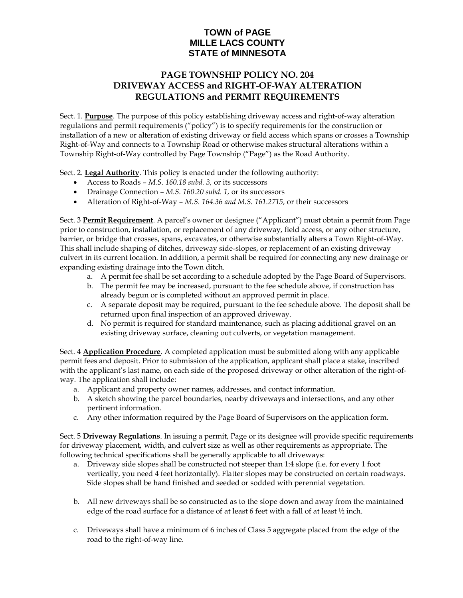## **TOWN of PAGE MILLE LACS COUNTY STATE of MINNESOTA**

## **PAGE TOWNSHIP POLICY NO. 204 DRIVEWAY ACCESS and RIGHT-OF-WAY ALTERATION REGULATIONS and PERMIT REQUIREMENTS**

Sect. 1. **Purpose**. The purpose of this policy establishing driveway access and right-of-way alteration regulations and permit requirements ("policy") is to specify requirements for the construction or installation of a new or alteration of existing driveway or field access which spans or crosses a Township Right-of-Way and connects to a Township Road or otherwise makes structural alterations within a Township Right-of-Way controlled by Page Township ("Page") as the Road Authority.

Sect. 2. **Legal Authority**. This policy is enacted under the following authority:

- Access to Roads *M.S. 160.18 subd. 3,* or its successors
- Drainage Connection *– M.S. 160.20 subd. 1,* or its successors
- Alteration of Right-of-Way *– M.S. 164.36 and M.S. 161.2715,* or their successors

Sect. 3 **Permit Requirement**. A parcel's owner or designee ("Applicant") must obtain a permit from Page prior to construction, installation, or replacement of any driveway, field access, or any other structure, barrier, or bridge that crosses, spans, excavates, or otherwise substantially alters a Town Right-of-Way. This shall include shaping of ditches, driveway side-slopes, or replacement of an existing driveway culvert in its current location. In addition, a permit shall be required for connecting any new drainage or expanding existing drainage into the Town ditch.

- a. A permit fee shall be set according to a schedule adopted by the Page Board of Supervisors.
- b. The permit fee may be increased, pursuant to the fee schedule above, if construction has already begun or is completed without an approved permit in place.
- c. A separate deposit may be required, pursuant to the fee schedule above. The deposit shall be returned upon final inspection of an approved driveway.
- d. No permit is required for standard maintenance, such as placing additional gravel on an existing driveway surface, cleaning out culverts, or vegetation management.

Sect. 4 **Application Procedure**. A completed application must be submitted along with any applicable permit fees and deposit. Prior to submission of the application, applicant shall place a stake, inscribed with the applicant's last name, on each side of the proposed driveway or other alteration of the right-ofway. The application shall include:

- a. Applicant and property owner names, addresses, and contact information.
- b. A sketch showing the parcel boundaries, nearby driveways and intersections, and any other pertinent information.
- c. Any other information required by the Page Board of Supervisors on the application form.

Sect. 5 **Driveway Regulations**. In issuing a permit, Page or its designee will provide specific requirements for driveway placement*,* width, and culvert size as well as other requirements as appropriate. The following technical specifications shall be generally applicable to all driveways:

- a. Driveway side slopes shall be constructed not steeper than 1:4 slope (i.e. for every 1 foot vertically, you need 4 feet horizontally). Flatter slopes may be constructed on certain roadways. Side slopes shall be hand finished and seeded or sodded with perennial vegetation.
- b. All new driveways shall be so constructed as to the slope down and away from the maintained edge of the road surface for a distance of at least 6 feet with a fall of at least ½ inch.
- c. Driveways shall have a minimum of 6 inches of Class 5 aggregate placed from the edge of the road to the right-of-way line.